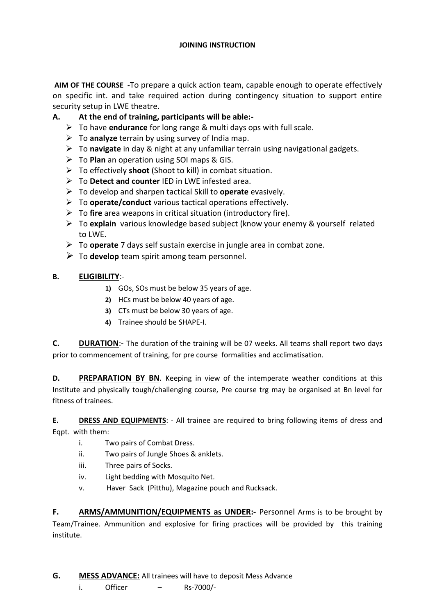**AIM OF THE COURSE -**To prepare a quick action team, capable enough to operate effectively on specific int. and take required action during contingency situation to support entire security setup in LWE theatre.

## **A. At the end of training, participants will be able:-**

- To have **endurance** for long range & multi days ops with full scale.
- To **analyze** terrain by using survey of India map.
- To **navigate** in day & night at any unfamiliar terrain using navigational gadgets.
- To **Plan** an operation using SOI maps & GIS.
- To effectively **shoot** (Shoot to kill) in combat situation.
- To **Detect and counter** IED in LWE infested area.
- To develop and sharpen tactical Skill to **operate** evasively.
- To **operate/conduct** various tactical operations effectively.
- To **fire** area weapons in critical situation (introductory fire).
- To **explain** various knowledge based subject (know your enemy & yourself related to LWE.
- To **operate** 7 days self sustain exercise in jungle area in combat zone.
- To **develop** team spirit among team personnel.

## **B. ELIGIBILITY**:-

- **1)** GOs, SOs must be below 35 years of age.
- **2)** HCs must be below 40 years of age.
- **3)** CTs must be below 30 years of age.
- **4)** Trainee should be SHAPE-I.

**C. DURATION**:- The duration of the training will be 07 weeks. All teams shall report two days prior to commencement of training, for pre course formalities and acclimatisation.

**D. PREPARATION BY BN**. Keeping in view of the intemperate weather conditions at this Institute and physically tough/challenging course, Pre course trg may be organised at Bn level for fitness of trainees.

**E. DRESS AND EQUIPMENTS:** - All trainee are required to bring following items of dress and Eqpt. with them:

- i. Two pairs of Combat Dress.
- ii. Two pairs of Jungle Shoes & anklets.
- iii. Three pairs of Socks.
- iv. Light bedding with Mosquito Net.
- v. Haver Sack (Pitthu), Magazine pouch and Rucksack.

**F. ARMS/AMMUNITION/EQUIPMENTS as UNDER:-** Personnel Arms is to be brought by Team/Trainee. Ammunition and explosive for firing practices will be provided by this training institute.

i. Officer – Rs-7000/-